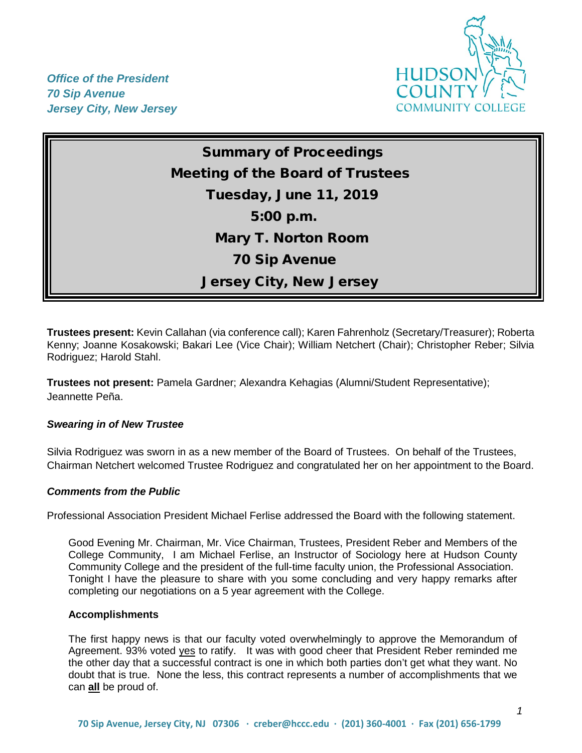

*Office of the President 70 Sip Avenue Jersey City, New Jersey*

> Summary of Proceedings Meeting of the Board of Trustees Tuesday, June 11, 2019 5:00 p.m. Mary T. Norton Room 70 Sip Avenue Jersey City, New Jersey

**Trustees present:** Kevin Callahan (via conference call); Karen Fahrenholz (Secretary/Treasurer); Roberta Kenny; Joanne Kosakowski; Bakari Lee (Vice Chair); William Netchert (Chair); Christopher Reber; Silvia Rodriguez; Harold Stahl.

**Trustees not present:** Pamela Gardner; Alexandra Kehagias (Alumni/Student Representative); Jeannette Peña.

#### *Swearing in of New Trustee*

Silvia Rodriguez was sworn in as a new member of the Board of Trustees. On behalf of the Trustees, Chairman Netchert welcomed Trustee Rodriguez and congratulated her on her appointment to the Board.

#### *Comments from the Public*

Professional Association President Michael Ferlise addressed the Board with the following statement.

Good Evening Mr. Chairman, Mr. Vice Chairman, Trustees, President Reber and Members of the College Community, I am Michael Ferlise, an Instructor of Sociology here at Hudson County Community College and the president of the full-time faculty union, the Professional Association. Tonight I have the pleasure to share with you some concluding and very happy remarks after completing our negotiations on a 5 year agreement with the College.

#### **Accomplishments**

The first happy news is that our faculty voted overwhelmingly to approve the Memorandum of Agreement. 93% voted yes to ratify. It was with good cheer that President Reber reminded me the other day that a successful contract is one in which both parties don't get what they want. No doubt that is true. None the less, this contract represents a number of accomplishments that we can **all** be proud of.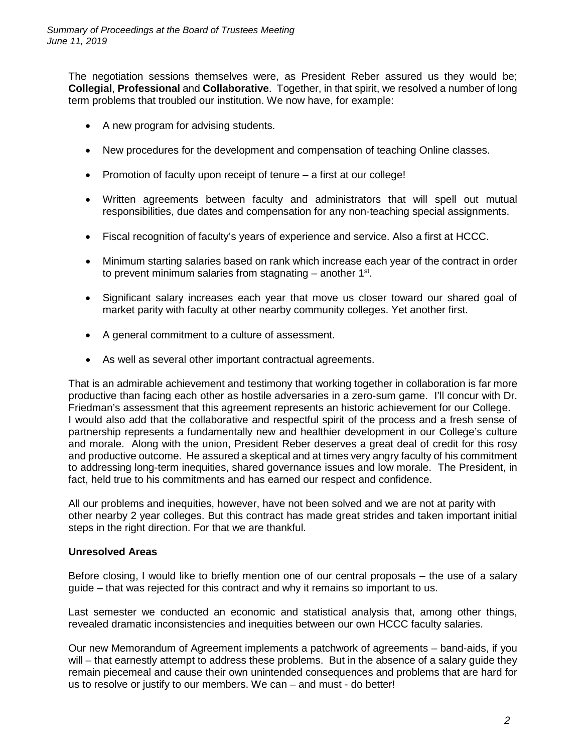The negotiation sessions themselves were, as President Reber assured us they would be; **Collegial**, **Professional** and **Collaborative**. Together, in that spirit, we resolved a number of long term problems that troubled our institution. We now have, for example:

- A new program for advising students.
- New procedures for the development and compensation of teaching Online classes.
- Promotion of faculty upon receipt of tenure a first at our college!
- Written agreements between faculty and administrators that will spell out mutual responsibilities, due dates and compensation for any non-teaching special assignments.
- Fiscal recognition of faculty's years of experience and service. Also a first at HCCC.
- Minimum starting salaries based on rank which increase each year of the contract in order to prevent minimum salaries from stagnating  $-$  another 1<sup>st</sup>.
- Significant salary increases each year that move us closer toward our shared goal of market parity with faculty at other nearby community colleges. Yet another first.
- A general commitment to a culture of assessment.
- As well as several other important contractual agreements.

That is an admirable achievement and testimony that working together in collaboration is far more productive than facing each other as hostile adversaries in a zero-sum game. I'll concur with Dr. Friedman's assessment that this agreement represents an historic achievement for our College. I would also add that the collaborative and respectful spirit of the process and a fresh sense of partnership represents a fundamentally new and healthier development in our College's culture and morale. Along with the union, President Reber deserves a great deal of credit for this rosy and productive outcome. He assured a skeptical and at times very angry faculty of his commitment to addressing long-term inequities, shared governance issues and low morale. The President, in fact, held true to his commitments and has earned our respect and confidence.

All our problems and inequities, however, have not been solved and we are not at parity with other nearby 2 year colleges. But this contract has made great strides and taken important initial steps in the right direction. For that we are thankful.

## **Unresolved Areas**

Before closing, I would like to briefly mention one of our central proposals – the use of a salary guide – that was rejected for this contract and why it remains so important to us.

Last semester we conducted an economic and statistical analysis that, among other things, revealed dramatic inconsistencies and inequities between our own HCCC faculty salaries.

Our new Memorandum of Agreement implements a patchwork of agreements – band-aids, if you will – that earnestly attempt to address these problems. But in the absence of a salary quide they remain piecemeal and cause their own unintended consequences and problems that are hard for us to resolve or justify to our members. We can – and must - do better!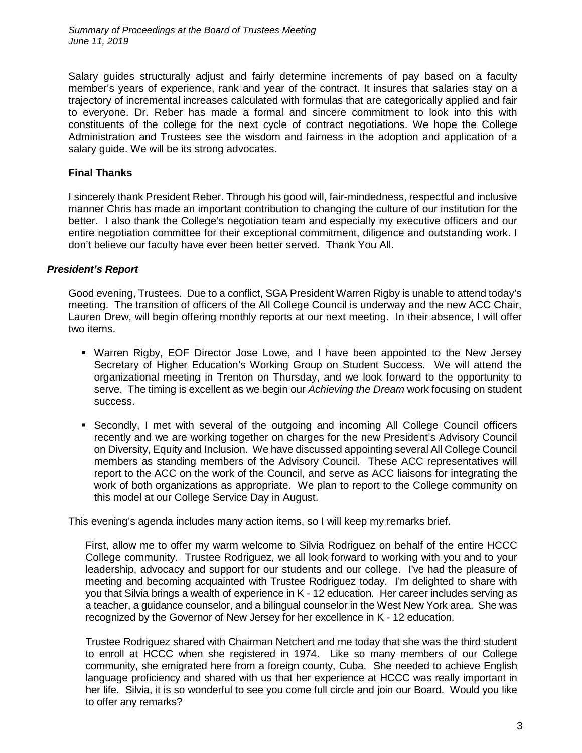*Summary of Proceedings at the Board of Trustees Meeting June 11, 2019*

Salary guides structurally adjust and fairly determine increments of pay based on a faculty member's years of experience, rank and year of the contract. It insures that salaries stay on a trajectory of incremental increases calculated with formulas that are categorically applied and fair to everyone. Dr. Reber has made a formal and sincere commitment to look into this with constituents of the college for the next cycle of contract negotiations. We hope the College Administration and Trustees see the wisdom and fairness in the adoption and application of a salary guide. We will be its strong advocates.

## **Final Thanks**

I sincerely thank President Reber. Through his good will, fair-mindedness, respectful and inclusive manner Chris has made an important contribution to changing the culture of our institution for the better. I also thank the College's negotiation team and especially my executive officers and our entire negotiation committee for their exceptional commitment, diligence and outstanding work. I don't believe our faculty have ever been better served. Thank You All.

### *President's Report*

Good evening, Trustees. Due to a conflict, SGA President Warren Rigby is unable to attend today's meeting. The transition of officers of the All College Council is underway and the new ACC Chair, Lauren Drew, will begin offering monthly reports at our next meeting. In their absence, I will offer two items.

- Warren Rigby, EOF Director Jose Lowe, and I have been appointed to the New Jersey Secretary of Higher Education's Working Group on Student Success. We will attend the organizational meeting in Trenton on Thursday, and we look forward to the opportunity to serve. The timing is excellent as we begin our *Achieving the Dream* work focusing on student success.
- **Secondly, I met with several of the outgoing and incoming All College Council officers** recently and we are working together on charges for the new President's Advisory Council on Diversity, Equity and Inclusion. We have discussed appointing several All College Council members as standing members of the Advisory Council. These ACC representatives will report to the ACC on the work of the Council, and serve as ACC liaisons for integrating the work of both organizations as appropriate. We plan to report to the College community on this model at our College Service Day in August.

This evening's agenda includes many action items, so I will keep my remarks brief.

First, allow me to offer my warm welcome to Silvia Rodriguez on behalf of the entire HCCC College community. Trustee Rodriguez, we all look forward to working with you and to your leadership, advocacy and support for our students and our college. I've had the pleasure of meeting and becoming acquainted with Trustee Rodriguez today. I'm delighted to share with you that Silvia brings a wealth of experience in K - 12 education. Her career includes serving as a teacher, a guidance counselor, and a bilingual counselor in the West New York area. She was recognized by the Governor of New Jersey for her excellence in K - 12 education.

Trustee Rodriguez shared with Chairman Netchert and me today that she was the third student to enroll at HCCC when she registered in 1974. Like so many members of our College community, she emigrated here from a foreign county, Cuba. She needed to achieve English language proficiency and shared with us that her experience at HCCC was really important in her life. Silvia, it is so wonderful to see you come full circle and join our Board. Would you like to offer any remarks?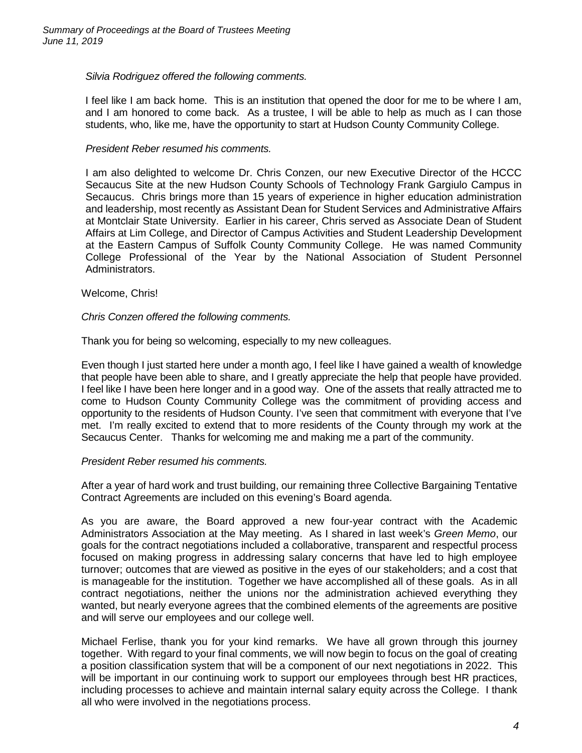## *Silvia Rodriguez offered the following comments.*

I feel like I am back home. This is an institution that opened the door for me to be where I am, and I am honored to come back. As a trustee, I will be able to help as much as I can those students, who, like me, have the opportunity to start at Hudson County Community College.

## *President Reber resumed his comments.*

I am also delighted to welcome Dr. Chris Conzen, our new Executive Director of the HCCC Secaucus Site at the new Hudson County Schools of Technology Frank Gargiulo Campus in Secaucus. Chris brings more than 15 years of experience in higher education administration and leadership, most recently as Assistant Dean for Student Services and Administrative Affairs at Montclair State University. Earlier in his career, Chris served as Associate Dean of Student Affairs at Lim College, and Director of Campus Activities and Student Leadership Development at the Eastern Campus of Suffolk County Community College. He was named Community College Professional of the Year by the National Association of Student Personnel Administrators.

### Welcome, Chris!

### *Chris Conzen offered the following comments.*

Thank you for being so welcoming, especially to my new colleagues.

Even though I just started here under a month ago, I feel like I have gained a wealth of knowledge that people have been able to share, and I greatly appreciate the help that people have provided. I feel like I have been here longer and in a good way. One of the assets that really attracted me to come to Hudson County Community College was the commitment of providing access and opportunity to the residents of Hudson County. I've seen that commitment with everyone that I've met. I'm really excited to extend that to more residents of the County through my work at the Secaucus Center. Thanks for welcoming me and making me a part of the community.

## *President Reber resumed his comments.*

After a year of hard work and trust building, our remaining three Collective Bargaining Tentative Contract Agreements are included on this evening's Board agenda.

As you are aware, the Board approved a new four-year contract with the Academic Administrators Association at the May meeting. As I shared in last week's *Green Memo*, our goals for the contract negotiations included a collaborative, transparent and respectful process focused on making progress in addressing salary concerns that have led to high employee turnover; outcomes that are viewed as positive in the eyes of our stakeholders; and a cost that is manageable for the institution. Together we have accomplished all of these goals. As in all contract negotiations, neither the unions nor the administration achieved everything they wanted, but nearly everyone agrees that the combined elements of the agreements are positive and will serve our employees and our college well.

Michael Ferlise, thank you for your kind remarks. We have all grown through this journey together. With regard to your final comments, we will now begin to focus on the goal of creating a position classification system that will be a component of our next negotiations in 2022. This will be important in our continuing work to support our employees through best HR practices, including processes to achieve and maintain internal salary equity across the College. I thank all who were involved in the negotiations process.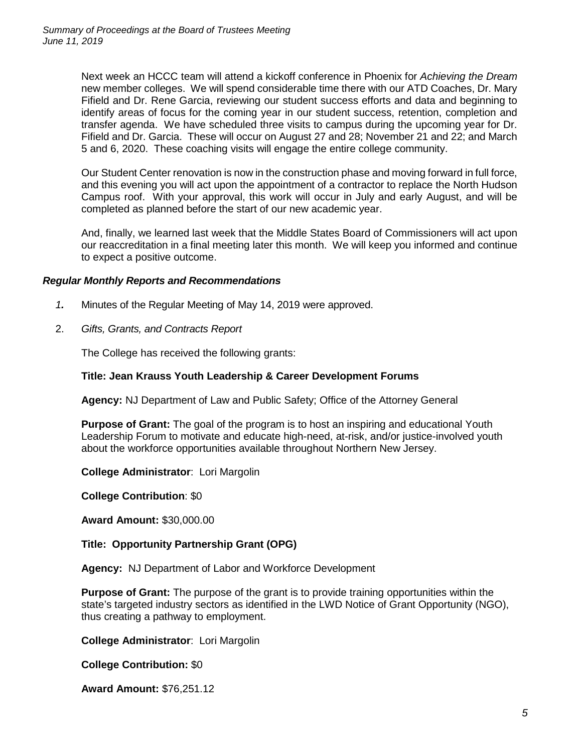Next week an HCCC team will attend a kickoff conference in Phoenix for *Achieving the Dream* new member colleges. We will spend considerable time there with our ATD Coaches, Dr. Mary Fifield and Dr. Rene Garcia, reviewing our student success efforts and data and beginning to identify areas of focus for the coming year in our student success, retention, completion and transfer agenda. We have scheduled three visits to campus during the upcoming year for Dr. Fifield and Dr. Garcia. These will occur on August 27 and 28; November 21 and 22; and March 5 and 6, 2020. These coaching visits will engage the entire college community.

Our Student Center renovation is now in the construction phase and moving forward in full force, and this evening you will act upon the appointment of a contractor to replace the North Hudson Campus roof. With your approval, this work will occur in July and early August, and will be completed as planned before the start of our new academic year.

And, finally, we learned last week that the Middle States Board of Commissioners will act upon our reaccreditation in a final meeting later this month. We will keep you informed and continue to expect a positive outcome.

## *Regular Monthly Reports and Recommendations*

- *1.* Minutes of the Regular Meeting of May 14, 2019 were approved.
- 2. *Gifts, Grants, and Contracts Report*

The College has received the following grants:

## **Title: Jean Krauss Youth Leadership & Career Development Forums**

**Agency:** NJ Department of Law and Public Safety; Office of the Attorney General

**Purpose of Grant:** The goal of the program is to host an inspiring and educational Youth Leadership Forum to motivate and educate high-need, at-risk, and/or justice-involved youth about the workforce opportunities available throughout Northern New Jersey.

**College Administrator**: Lori Margolin

**College Contribution**: \$0

**Award Amount:** \$30,000.00

## **Title: Opportunity Partnership Grant (OPG)**

**Agency:** NJ Department of Labor and Workforce Development

**Purpose of Grant:** The purpose of the grant is to provide training opportunities within the state's targeted industry sectors as identified in the LWD Notice of Grant Opportunity (NGO), thus creating a pathway to employment.

**College Administrator**: Lori Margolin

**College Contribution:** \$0

**Award Amount:** \$76,251.12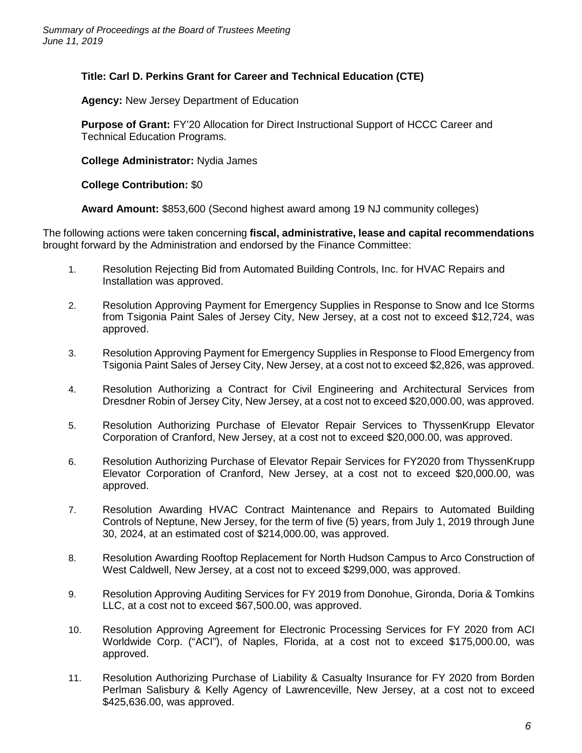# **Title: Carl D. Perkins Grant for Career and Technical Education (CTE)**

**Agency:** New Jersey Department of Education

**Purpose of Grant:** FY'20 Allocation for Direct Instructional Support of HCCC Career and Technical Education Programs.

**College Administrator:** Nydia James

**College Contribution:** \$0

**Award Amount:** \$853,600 (Second highest award among 19 NJ community colleges)

The following actions were taken concerning **fiscal, administrative, lease and capital recommendations** brought forward by the Administration and endorsed by the Finance Committee:

- 1. Resolution Rejecting Bid from Automated Building Controls, Inc. for HVAC Repairs and Installation was approved.
- 2. Resolution Approving Payment for Emergency Supplies in Response to Snow and Ice Storms from Tsigonia Paint Sales of Jersey City, New Jersey, at a cost not to exceed \$12,724, was approved.
- 3. Resolution Approving Payment for Emergency Supplies in Response to Flood Emergency from Tsigonia Paint Sales of Jersey City, New Jersey, at a cost not to exceed \$2,826, was approved.
- 4. Resolution Authorizing a Contract for Civil Engineering and Architectural Services from Dresdner Robin of Jersey City, New Jersey, at a cost not to exceed \$20,000.00, was approved.
- 5. Resolution Authorizing Purchase of Elevator Repair Services to ThyssenKrupp Elevator Corporation of Cranford, New Jersey, at a cost not to exceed \$20,000.00, was approved.
- 6. Resolution Authorizing Purchase of Elevator Repair Services for FY2020 from ThyssenKrupp Elevator Corporation of Cranford, New Jersey, at a cost not to exceed \$20,000.00, was approved.
- 7. Resolution Awarding HVAC Contract Maintenance and Repairs to Automated Building Controls of Neptune, New Jersey, for the term of five (5) years, from July 1, 2019 through June 30, 2024, at an estimated cost of \$214,000.00, was approved.
- 8. Resolution Awarding Rooftop Replacement for North Hudson Campus to Arco Construction of West Caldwell, New Jersey, at a cost not to exceed \$299,000, was approved.
- 9. Resolution Approving Auditing Services for FY 2019 from Donohue, Gironda, Doria & Tomkins LLC, at a cost not to exceed \$67,500.00, was approved.
- 10. Resolution Approving Agreement for Electronic Processing Services for FY 2020 from ACI Worldwide Corp. ("ACI"), of Naples, Florida, at a cost not to exceed \$175,000.00, was approved.
- 11. Resolution Authorizing Purchase of Liability & Casualty Insurance for FY 2020 from Borden Perlman Salisbury & Kelly Agency of Lawrenceville, New Jersey, at a cost not to exceed \$425,636.00, was approved.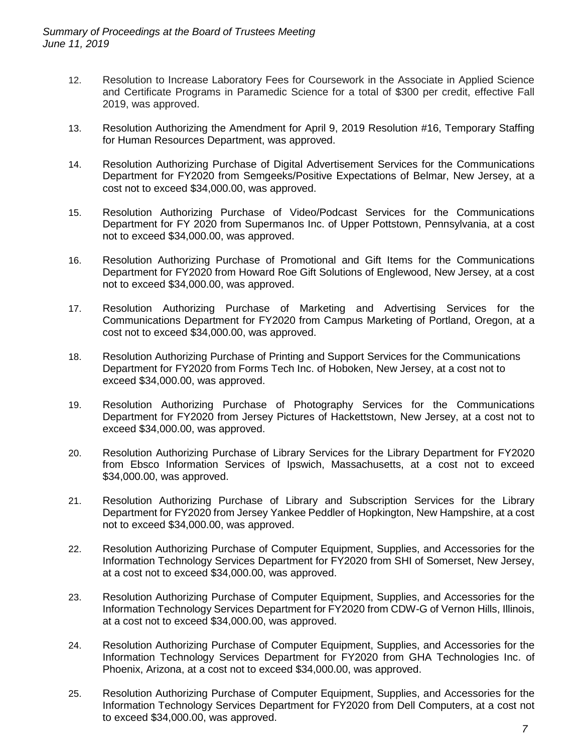- 12. Resolution to Increase Laboratory Fees for Coursework in the Associate in Applied Science and Certificate Programs in Paramedic Science for a total of \$300 per credit, effective Fall 2019, was approved.
- 13. Resolution Authorizing the Amendment for April 9, 2019 Resolution #16, Temporary Staffing for Human Resources Department, was approved.
- 14. Resolution Authorizing Purchase of Digital Advertisement Services for the Communications Department for FY2020 from Semgeeks/Positive Expectations of Belmar, New Jersey, at a cost not to exceed \$34,000.00, was approved.
- 15. Resolution Authorizing Purchase of Video/Podcast Services for the Communications Department for FY 2020 from Supermanos Inc. of Upper Pottstown, Pennsylvania, at a cost not to exceed \$34,000.00, was approved.
- 16. Resolution Authorizing Purchase of Promotional and Gift Items for the Communications Department for FY2020 from Howard Roe Gift Solutions of Englewood, New Jersey, at a cost not to exceed \$34,000.00, was approved.
- 17. Resolution Authorizing Purchase of Marketing and Advertising Services for the Communications Department for FY2020 from Campus Marketing of Portland, Oregon, at a cost not to exceed \$34,000.00, was approved.
- 18. Resolution Authorizing Purchase of Printing and Support Services for the Communications Department for FY2020 from Forms Tech Inc. of Hoboken, New Jersey, at a cost not to exceed \$34,000.00, was approved.
- 19. Resolution Authorizing Purchase of Photography Services for the Communications Department for FY2020 from Jersey Pictures of Hackettstown, New Jersey, at a cost not to exceed \$34,000.00, was approved.
- 20. Resolution Authorizing Purchase of Library Services for the Library Department for FY2020 from Ebsco Information Services of Ipswich, Massachusetts, at a cost not to exceed \$34,000.00, was approved.
- 21. Resolution Authorizing Purchase of Library and Subscription Services for the Library Department for FY2020 from Jersey Yankee Peddler of Hopkington, New Hampshire, at a cost not to exceed \$34,000.00, was approved.
- 22. Resolution Authorizing Purchase of Computer Equipment, Supplies, and Accessories for the Information Technology Services Department for FY2020 from SHI of Somerset, New Jersey, at a cost not to exceed \$34,000.00, was approved.
- 23. Resolution Authorizing Purchase of Computer Equipment, Supplies, and Accessories for the Information Technology Services Department for FY2020 from CDW-G of Vernon Hills, Illinois, at a cost not to exceed \$34,000.00, was approved.
- 24. Resolution Authorizing Purchase of Computer Equipment, Supplies, and Accessories for the Information Technology Services Department for FY2020 from GHA Technologies Inc. of Phoenix, Arizona, at a cost not to exceed \$34,000.00, was approved.
- 25. Resolution Authorizing Purchase of Computer Equipment, Supplies, and Accessories for the Information Technology Services Department for FY2020 from Dell Computers, at a cost not to exceed \$34,000.00, was approved.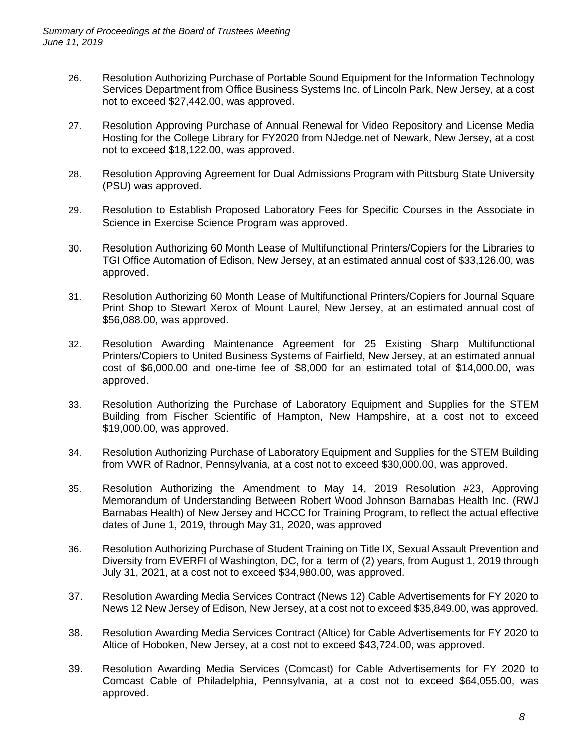- 26. Resolution Authorizing Purchase of Portable Sound Equipment for the Information Technology Services Department from Office Business Systems Inc. of Lincoln Park, New Jersey, at a cost not to exceed \$27,442.00, was approved.
- 27. Resolution Approving Purchase of Annual Renewal for Video Repository and License Media Hosting for the College Library for FY2020 from NJedge.net of Newark, New Jersey, at a cost not to exceed \$18,122.00, was approved.
- 28. Resolution Approving Agreement for Dual Admissions Program with Pittsburg State University (PSU) was approved.
- 29. Resolution to Establish Proposed Laboratory Fees for Specific Courses in the Associate in Science in Exercise Science Program was approved.
- 30. Resolution Authorizing 60 Month Lease of Multifunctional Printers/Copiers for the Libraries to TGI Office Automation of Edison, New Jersey, at an estimated annual cost of \$33,126.00, was approved.
- 31. Resolution Authorizing 60 Month Lease of Multifunctional Printers/Copiers for Journal Square Print Shop to Stewart Xerox of Mount Laurel, New Jersey, at an estimated annual cost of \$56,088.00, was approved.
- 32. Resolution Awarding Maintenance Agreement for 25 Existing Sharp Multifunctional Printers/Copiers to United Business Systems of Fairfield, New Jersey, at an estimated annual cost of \$6,000.00 and one-time fee of \$8,000 for an estimated total of \$14,000.00, was approved.
- 33. Resolution Authorizing the Purchase of Laboratory Equipment and Supplies for the STEM Building from Fischer Scientific of Hampton, New Hampshire, at a cost not to exceed \$19,000.00, was approved.
- 34. Resolution Authorizing Purchase of Laboratory Equipment and Supplies for the STEM Building from VWR of Radnor, Pennsylvania, at a cost not to exceed \$30,000.00, was approved.
- 35. Resolution Authorizing the Amendment to May 14, 2019 Resolution #23, Approving Memorandum of Understanding Between Robert Wood Johnson Barnabas Health Inc. (RWJ Barnabas Health) of New Jersey and HCCC for Training Program, to reflect the actual effective dates of June 1, 2019, through May 31, 2020, was approved
- 36. Resolution Authorizing Purchase of Student Training on Title IX, Sexual Assault Prevention and Diversity from EVERFI of Washington, DC, for a term of (2) years, from August 1, 2019 through July 31, 2021, at a cost not to exceed \$34,980.00, was approved.
- 37. Resolution Awarding Media Services Contract (News 12) Cable Advertisements for FY 2020 to News 12 New Jersey of Edison, New Jersey, at a cost not to exceed \$35,849.00, was approved.
- 38. Resolution Awarding Media Services Contract (Altice) for Cable Advertisements for FY 2020 to Altice of Hoboken, New Jersey, at a cost not to exceed \$43,724.00, was approved.
- 39. Resolution Awarding Media Services (Comcast) for Cable Advertisements for FY 2020 to Comcast Cable of Philadelphia, Pennsylvania, at a cost not to exceed \$64,055.00, was approved.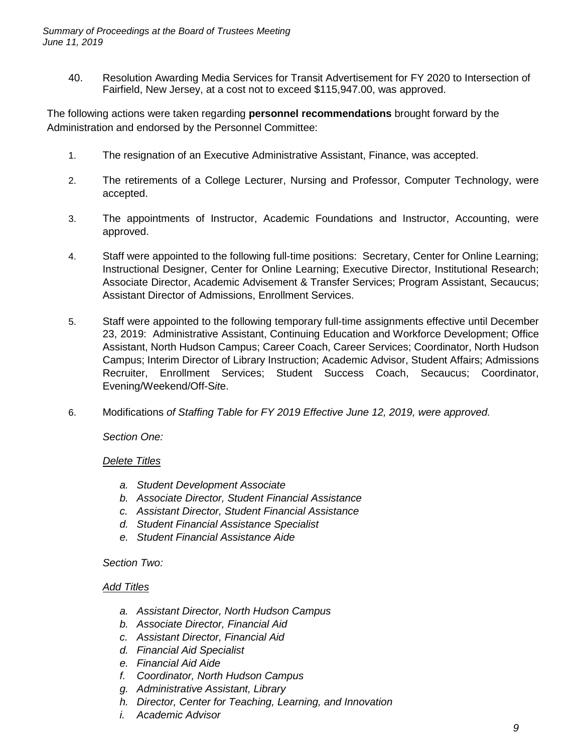40. Resolution Awarding Media Services for Transit Advertisement for FY 2020 to Intersection of Fairfield, New Jersey, at a cost not to exceed \$115,947.00, was approved.

The following actions were taken regarding **personnel recommendations** brought forward by the Administration and endorsed by the Personnel Committee:

- 1. The resignation of an Executive Administrative Assistant, Finance, was accepted.
- 2. The retirements of a College Lecturer, Nursing and Professor, Computer Technology, were accepted.
- 3. The appointments of Instructor, Academic Foundations and Instructor, Accounting, were approved.
- 4. Staff were appointed to the following full-time positions: Secretary, Center for Online Learning; Instructional Designer, Center for Online Learning; Executive Director, Institutional Research; Associate Director, Academic Advisement & Transfer Services; Program Assistant, Secaucus; Assistant Director of Admissions, Enrollment Services.
- 5. Staff were appointed to the following temporary full-time assignments effective until December 23, 2019: Administrative Assistant, Continuing Education and Workforce Development; Office Assistant, North Hudson Campus; Career Coach, Career Services; Coordinator, North Hudson Campus; Interim Director of Library Instruction; Academic Advisor, Student Affairs; Admissions Recruiter, Enrollment Services; Student Success Coach, Secaucus; Coordinator, Evening/Weekend/Off-S*it*e.
- 6. Modifications *of Staffing Table for FY 2019 Effective June 12, 2019, were approved.*

*Section One:*

#### *Delete Titles*

- *a. Student Development Associate*
- *b. Associate Director, Student Financial Assistance*
- *c. Assistant Director, Student Financial Assistance*
- *d. Student Financial Assistance Specialist*
- *e. Student Financial Assistance Aide*

#### *Section Two:*

#### *Add Titles*

- *a. Assistant Director, North Hudson Campus*
- *b. Associate Director, Financial Aid*
- *c. Assistant Director, Financial Aid*
- *d. Financial Aid Specialist*
- *e. Financial Aid Aide*
- *f. Coordinator, North Hudson Campus*
- *g. Administrative Assistant, Library*
- *h. Director, Center for Teaching, Learning, and Innovation*
- *i. Academic Advisor*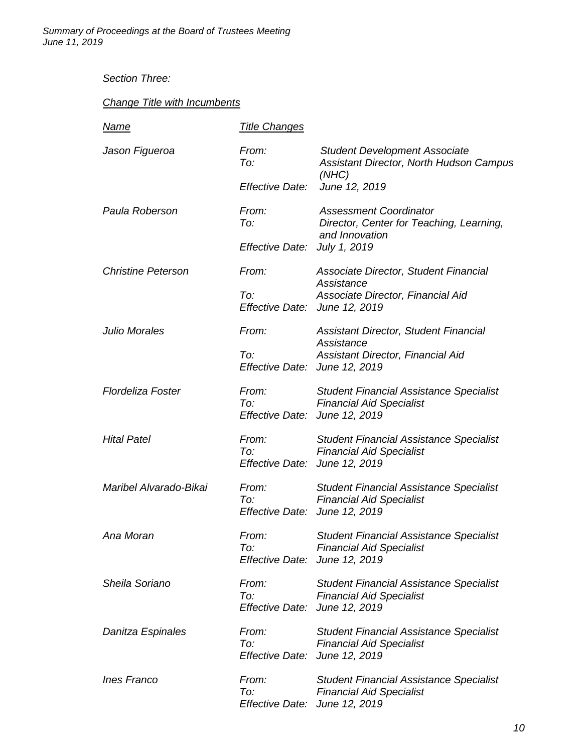*Summary of Proceedings at the Board of Trustees Meeting June 11, 2019*

# *Section Three:*

# *Change Title with Incumbents*

| <b>Name</b>               | <b>Title Changes</b>                          |                                                                                                    |
|---------------------------|-----------------------------------------------|----------------------------------------------------------------------------------------------------|
| Jason Figueroa            | From:<br>To:                                  | <b>Student Development Associate</b><br>Assistant Director, North Hudson Campus<br>(NHC)           |
|                           | Effective Date:                               | June 12, 2019                                                                                      |
| Paula Roberson            | From:<br>To:                                  | <b>Assessment Coordinator</b><br>Director, Center for Teaching, Learning,<br>and Innovation        |
|                           | Effective Date:                               | July 1, 2019                                                                                       |
| <b>Christine Peterson</b> | From:                                         | Associate Director, Student Financial<br>Assistance                                                |
|                           | To:<br>Effective Date: June 12, 2019          | Associate Director, Financial Aid                                                                  |
| <b>Julio Morales</b>      | From:                                         | <b>Assistant Director, Student Financial</b><br>Assistance                                         |
|                           | To:<br>Effective Date: June 12, 2019          | Assistant Director, Financial Aid                                                                  |
| <b>Flordeliza Foster</b>  | From:<br>To:<br>Effective Date: June 12, 2019 | <b>Student Financial Assistance Specialist</b><br><b>Financial Aid Specialist</b>                  |
| <b>Hital Patel</b>        | From:<br>To:<br>Effective Date: June 12, 2019 | <b>Student Financial Assistance Specialist</b><br><b>Financial Aid Specialist</b>                  |
| Maribel Alvarado-Bikai    | From:<br>To:<br>Effective Date:               | <b>Student Financial Assistance Specialist</b><br><b>Financial Aid Specialist</b><br>June 12, 2019 |
| Ana Moran                 | From:<br>To:<br>Effective Date: June 12, 2019 | <b>Student Financial Assistance Specialist</b><br><b>Financial Aid Specialist</b>                  |
| Sheila Soriano            | From:<br>To:<br>Effective Date:               | <b>Student Financial Assistance Specialist</b><br><b>Financial Aid Specialist</b><br>June 12, 2019 |
| Danitza Espinales         | From:<br>To:<br>Effective Date:               | <b>Student Financial Assistance Specialist</b><br><b>Financial Aid Specialist</b><br>June 12, 2019 |
| <b>Ines Franco</b>        | From:<br>To:<br>Effective Date:               | <b>Student Financial Assistance Specialist</b><br><b>Financial Aid Specialist</b><br>June 12, 2019 |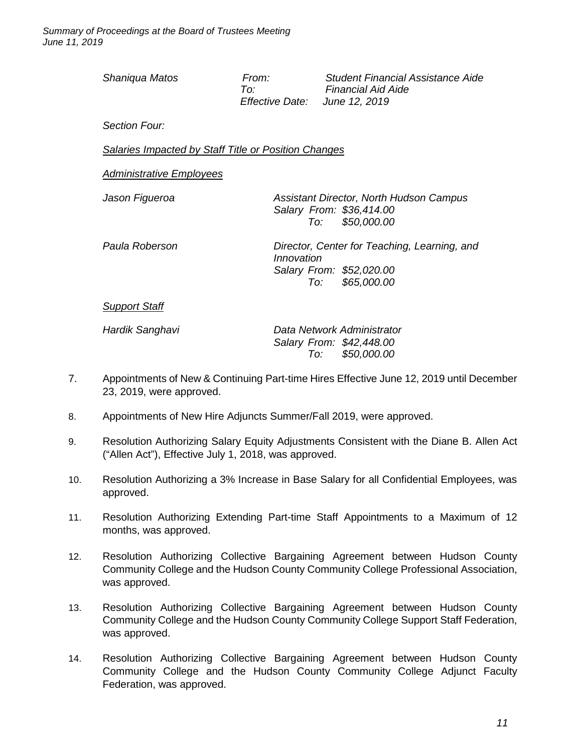| Shaniqua Matos                                       | From:<br>To:<br><i>Effective Date:</i> | <b>Student Financial Assistance Aide</b><br><b>Financial Aid Aide</b><br>June 12, 2019      |  |  |  |
|------------------------------------------------------|----------------------------------------|---------------------------------------------------------------------------------------------|--|--|--|
| Section Four:                                        |                                        |                                                                                             |  |  |  |
| Salaries Impacted by Staff Title or Position Changes |                                        |                                                                                             |  |  |  |
| <b>Administrative Employees</b>                      |                                        |                                                                                             |  |  |  |
| Jason Figueroa                                       |                                        | Assistant Director, North Hudson Campus<br>Salary From: \$36,414.00<br>\$50,000.00<br>To: T |  |  |  |
| Paula Roberson                                       | Innovation                             | Director, Center for Teaching, Learning, and<br>Salary From: \$52,020.00<br>To: \$65,000.00 |  |  |  |
| <b>Support Staff</b>                                 |                                        |                                                                                             |  |  |  |
| Hardik Sanghavi                                      |                                        | Data Network Administrator<br>Salary From: \$42,448.00                                      |  |  |  |

7. Appointments of New & Continuing Part-time Hires Effective June 12, 2019 until December 23, 2019, were approved.

*To: \$50,000.00*

- 8. Appointments of New Hire Adjuncts Summer/Fall 2019, were approved.
- 9. Resolution Authorizing Salary Equity Adjustments Consistent with the Diane B. Allen Act ("Allen Act"), Effective July 1, 2018, was approved.
- 10. Resolution Authorizing a 3% Increase in Base Salary for all Confidential Employees, was approved.
- 11. Resolution Authorizing Extending Part-time Staff Appointments to a Maximum of 12 months, was approved.
- 12. Resolution Authorizing Collective Bargaining Agreement between Hudson County Community College and the Hudson County Community College Professional Association, was approved.
- 13. Resolution Authorizing Collective Bargaining Agreement between Hudson County Community College and the Hudson County Community College Support Staff Federation, was approved.
- 14. Resolution Authorizing Collective Bargaining Agreement between Hudson County Community College and the Hudson County Community College Adjunct Faculty Federation, was approved.